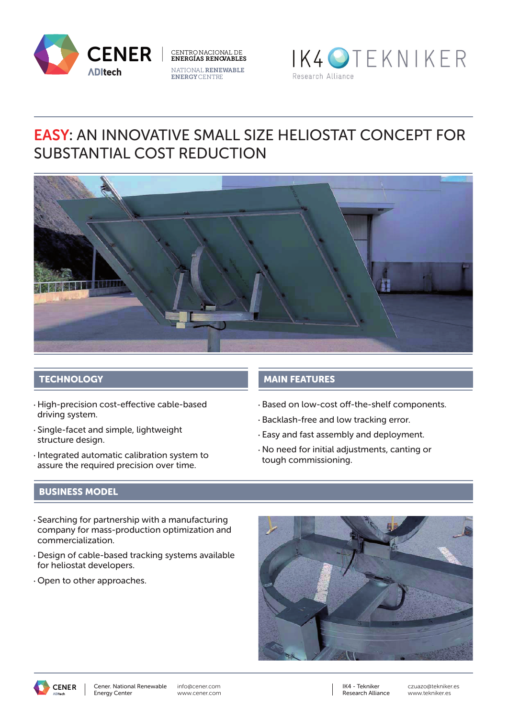





# EASY: AN INNOVATIVE SMALL SIZE HELIOSTAT CONCEPT FOR SUBSTANTIAL COST REDUCTION



## **TECHNOLOGY**

- High-precision cost-effective cable-based driving system.
- Single-facet and simple, lightweight structure design.
- Integrated automatic calibration system to assure the required precision over time.

## MAIN FEATURES

- Based on low-cost off-the-shelf components.
- Backlash-free and low tracking error.
- Easy and fast assembly and deployment.
- No need for initial adjustments, canting or tough commissioning.

### BUSINESS MODEL

- Searching for partnership with a manufacturing company for mass-production optimization and commercialization.
- Design of cable-based tracking systems available for heliostat developers.
- Open to other approaches.





info@cener.com www.cener.com IK4 - Tekniker Research Alliance